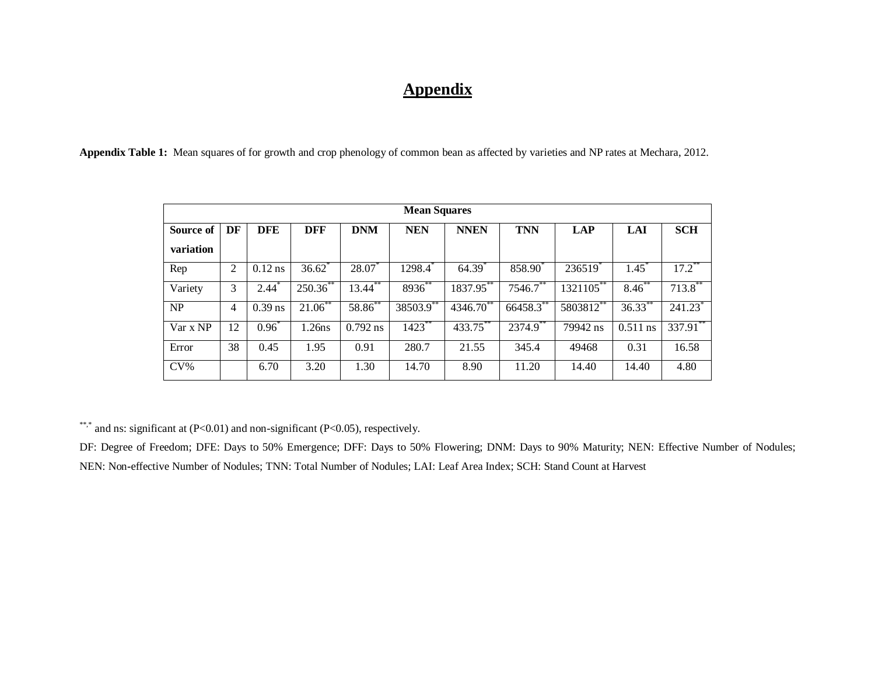## **Appendix**

**Appendix Table 1:** Mean squares of for growth and crop phenology of common bean as affected by varieties and NP rates at Mechara, 2012.

| <b>Mean Squares</b>    |    |            |               |            |            |                      |             |                           |            |                       |  |
|------------------------|----|------------|---------------|------------|------------|----------------------|-------------|---------------------------|------------|-----------------------|--|
| Source of<br>variation | DF | <b>DFE</b> | <b>DFF</b>    | <b>DNM</b> | <b>NEN</b> | <b>NNEN</b>          | <b>TNN</b>  | <b>LAP</b>                | <b>LAI</b> | <b>SCH</b>            |  |
| Rep                    | 2  | $0.12$ ns  | 36.62         | 28.07      | 1298.4     | $64.39$ <sup>*</sup> | 858.90      | 236519                    | $1.45^*$   | $17.2$ **             |  |
| Variety                | 3  | $2.44*$    | $250.36^{**}$ | $13.44$ ** | 8936**     | 1837.95**            | $7546.7$ ** | $132\overline{1105}^{**}$ | $8.46***$  | $713.8$ **            |  |
| NP                     | 4  | $0.39$ ns  | $21.06$ **    | 58.86**    | 38503.9**  | 4346.70**            | 66458.3**   | $5803812$ **              | $36.33$ ** | $241.23$ <sup>*</sup> |  |
| Var x NP               | 12 | $0.96*$    | 1.26ns        | $0.792$ ns | $1423$ **  | 433.75**             | 2374.9**    | 79942 ns                  | $0.511$ ns | 337.91                |  |
| Error                  | 38 | 0.45       | 1.95          | 0.91       | 280.7      | 21.55                | 345.4       | 49468                     | 0.31       | 16.58                 |  |
| $CV\%$                 |    | 6.70       | 3.20          | 1.30       | 14.70      | 8.90                 | 11.20       | 14.40                     | 14.40      | 4.80                  |  |

\*\*,\* and ns: significant at  $(P<0.01)$  and non-significant  $(P<0.05)$ , respectively.

DF: Degree of Freedom; DFE: Days to 50% Emergence; DFF: Days to 50% Flowering; DNM: Days to 90% Maturity; NEN: Effective Number of Nodules; NEN: Non**-**effective Number of Nodules; TNN: Total Number of Nodules; LAI: Leaf Area Index; SCH: Stand Count at Harvest